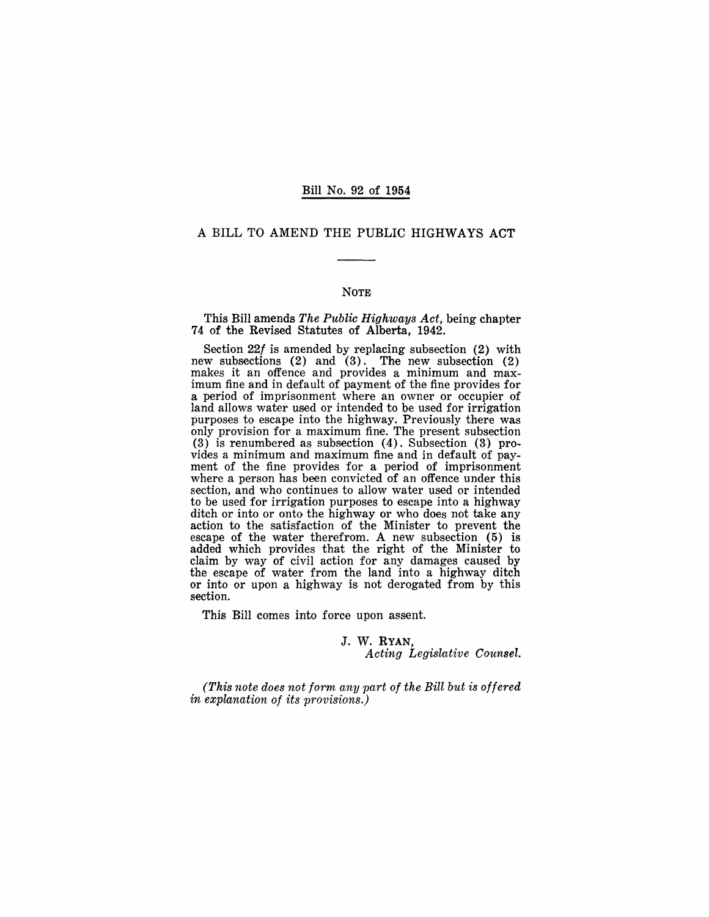#### Bill No. 92 of 1954

#### A BILL TO AMEND THE PUBLIC HIGHWAYS ACT

#### NOTE

This Bill amends *The Public Highways Act,* being chapter 74 of the Revised Statutes of Alberta, 1942.

Section 22f is amended by replacing subsection (2) with new subsections (2) and (3). The new subsection (2) makes it an offence and provides a minimum and maximum fine and in default of payment of the fine provides for a period of imprisonment where an owner or occupier of land allows water used or intended to be used for irrigation purposes to escape into the highway. Previously there was only provision for a maximum fine. The present subsection (3) is renumbered as subsection (4). Subsection (3) provides a minimum and maximum fine and in default of payment of the· fine provides for a period of imprisonment where a person has been convicted of an offence under this section, and who continues to allow water used or intended to be used for irrigation purposes to escape into a highway ditch or into or onto the highway or who does not take any action to the satisfaction of the Minister to prevent the escape of the water therefrom. A new subsection (5) is added which provides that the right of the Minister to claim by way of civil action for any damages caused by the escape of water from the land into a highway ditch or into or upon a highway is not derogated from by this section.

This Bill comes into force upon assent.

#### J. W. RYAN,

*Acting Legislative Counsel.* 

*(This note does not form any part of the Bill but is offered in explanation of its provisions.)*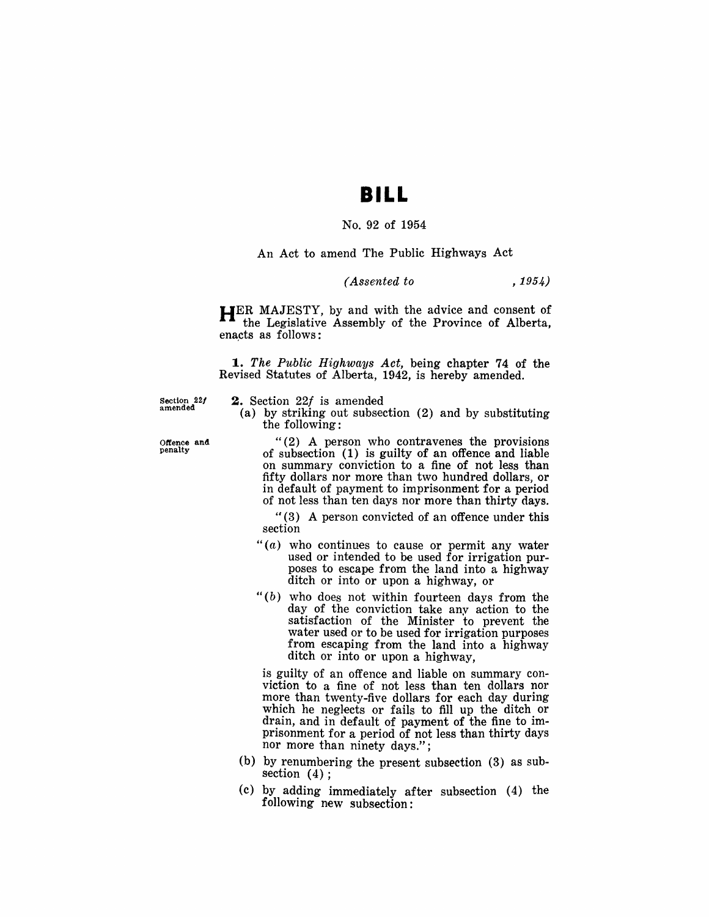# **BILL**

# No. 92 of 1954

# An Act to amend The Public Highways Act

### *(Assented to* , 1954)

HER MAJESTY, by and with the advice and consent of the Legislative Assembly of the Province of Alberta, enacts as follows:

*1. The Public Highways Act,* being chapter 74 of the Revised Statutes of Alberta, 1942, is hereby amended.

Section 22/ amended

2. Section *221* is amended

(a) by striking out subsection (2) and by substituting the following:

"(2) A person who contravenes the provisions of subsection (1) is guilty of an offence and liable on summary conviction to a fine of not less than fifty dollars nor more than two hundred dollars, or in default of payment to imprisonment for a period of not less than ten days nor more than thirty days.

" (3) A person convicted of an offence under this section

- $f'(a)$  who continues to cause or permit any water used or intended to be used for irrigation purposes to escape from the land into a highway ditch or into or upon a highway, or
- $"$ (b) who does not within fourteen days from the day of the conviction take any action to the satisfaction of the Minister to prevent the water used or to be used for irrigation purposes from escaping from the land into a highway ditch or into or upon a highway,

is guilty of an offence and liable on summary conviction to a fine of not less than ten dollars nor more than twenty-five dollars for each day during which he neglects or fails to fill up the ditch or drain, and in default of payment of the fine to imprisonment for a period of not less than thirty days nor more than ninety days.";

- (b) by renumbering the present subsection (3) as subsection  $(4)$ :
- $(c)$  by adding immediately after subsection  $(4)$  the following new subsection:

Offence and penalty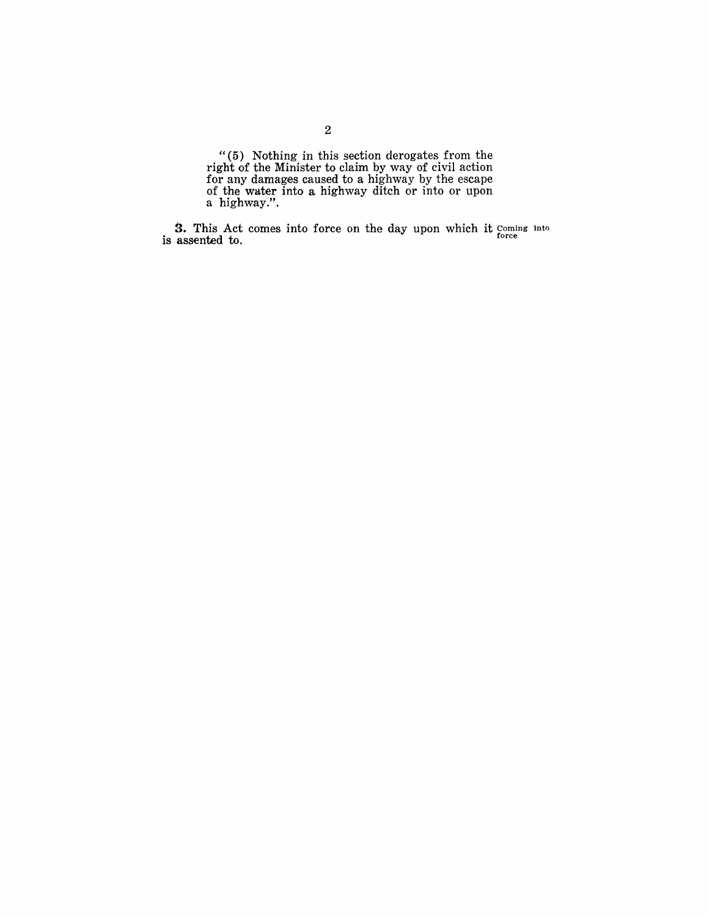"(5) Nothing in this section derogates from the right of the Minister to claim by way of civil action for any damages caused to a highway by the escape of the water into a highway ditch or into or upon a highway.".

**3.** This Act comes into force on the day upon which it Coming into is assented to. force